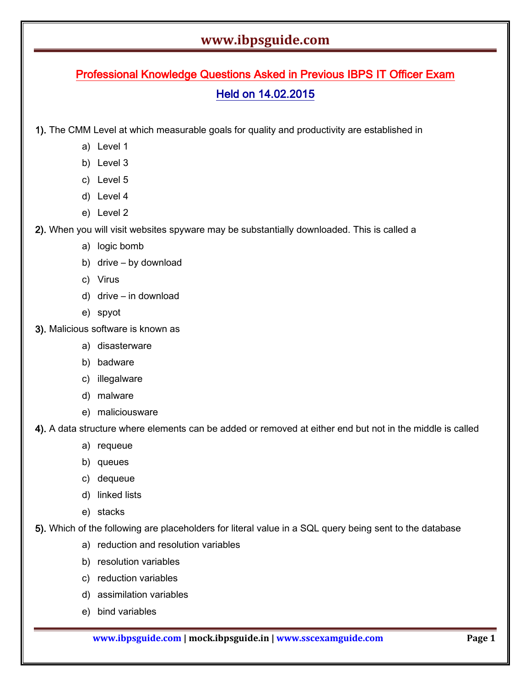# Professional Knowledge Questions Asked in Previous IBPS IT Officer Exam Held on 14.02.2015

1). The CMM Level at which measurable goals for quality and productivity are established in

- a) Level 1
- b) Level 3
- c) Level 5
- d) Level 4
- e) Level 2

2). When you will visit websites spyware may be substantially downloaded. This is called a

- a) logic bomb
- b) drive by download
- c) Virus
- d) drive in download
- e) spyot
- 3). Malicious software is known as
	- a) disasterware
	- b) badware
	- c) illegalware
	- d) malware
	- e) maliciousware

4). A data structure where elements can be added or removed at either end but not in the middle is called

- a) requeue
- b) queues
- c) dequeue
- d) linked lists
- e) stacks

5). Which of the following are placeholders for literal value in a SQL query being sent to the database

- a) reduction and resolution variables
- b) resolution variables
- c) reduction variables
- d) assimilation variables
- e) bind variables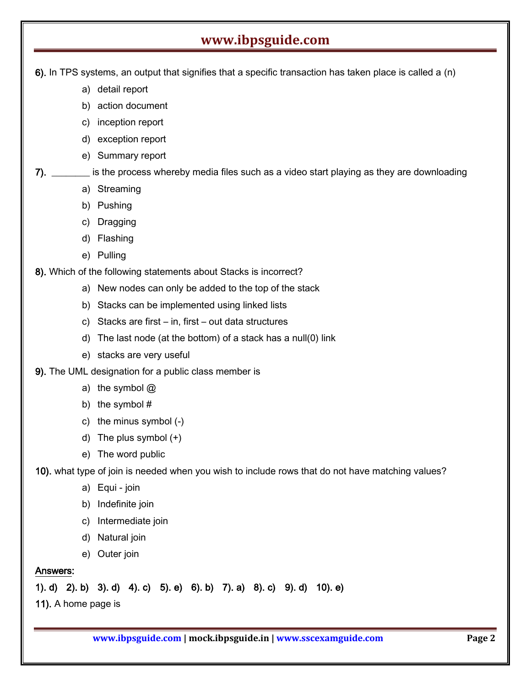6). In TPS systems, an output that signifies that a specific transaction has taken place is called a (n)

- a) detail report
- b) action document
- c) inception report
- d) exception report
- e) Summary report

7). \_\_\_\_\_\_\_\_ is the process whereby media files such as a video start playing as they are downloading

- a) Streaming
- b) Pushing
- c) Dragging
- d) Flashing
- e) Pulling

8). Which of the following statements about Stacks is incorrect?

- a) New nodes can only be added to the top of the stack
- b) Stacks can be implemented using linked lists
- c) Stacks are first in, first out data structures
- d) The last node (at the bottom) of a stack has a null(0) link
- e) stacks are very useful
- 9). The UML designation for a public class member is
	- a) the symbol  $@$
	- b) the symbol #
	- c) the minus symbol (-)
	- d) The plus symbol (+)
	- e) The word public

10). what type of join is needed when you wish to include rows that do not have matching values?

- a) Equi join
- b) Indefinite join
- c) Intermediate join
- d) Natural join
- e) Outer join

#### Answers:

1). d) 2). b) 3). d) 4). c) 5). e) 6). b) 7). a) 8). c) 9). d) 10). e)

11). A home page is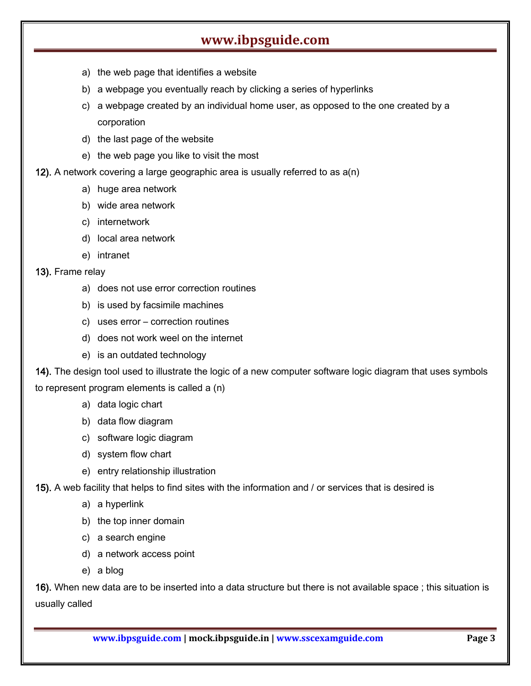- a) the web page that identifies a website
- b) a webpage you eventually reach by clicking a series of hyperlinks
- c) a webpage created by an individual home user, as opposed to the one created by a corporation
- d) the last page of the website
- e) the web page you like to visit the most

#### 12). A network covering a large geographic area is usually referred to as a(n)

- a) huge area network
- b) wide area network
- c) internetwork
- d) local area network
- e) intranet
- 13). Frame relay
	- a) does not use error correction routines
	- b) is used by facsimile machines
	- c) uses error correction routines
	- d) does not work weel on the internet
	- e) is an outdated technology

14). The design tool used to illustrate the logic of a new computer software logic diagram that uses symbols to represent program elements is called a (n)

- a) data logic chart
- b) data flow diagram
- c) software logic diagram
- d) system flow chart
- e) entry relationship illustration
- 15). A web facility that helps to find sites with the information and / or services that is desired is
	- a) a hyperlink
	- b) the top inner domain
	- c) a search engine
	- d) a network access point
	- e) a blog

16). When new data are to be inserted into a data structure but there is not available space ; this situation is usually called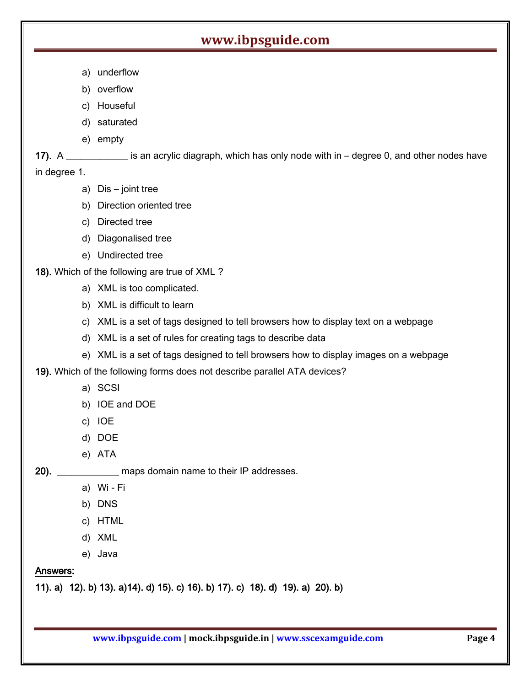- a) underflow
- b) overflow
- c) Houseful
- d) saturated
- e) empty

17). A \_\_\_\_\_\_\_\_\_\_\_\_\_ is an acrylic diagraph, which has only node with in – degree 0, and other nodes have in degree 1.

- a) Dis joint tree
- b) Direction oriented tree
- c) Directed tree
- d) Diagonalised tree
- e) Undirected tree
- 18). Which of the following are true of XML ?
	- a) XML is too complicated.
	- b) XML is difficult to learn
	- c) XML is a set of tags designed to tell browsers how to display text on a webpage
	- d) XML is a set of rules for creating tags to describe data
	- e) XML is a set of tags designed to tell browsers how to display images on a webpage
- 19). Which of the following forms does not describe parallel ATA devices?
	- a) SCSI
	- b) IOE and DOE
	- c) IOE
	- d) DOE
	- e) ATA

20). \_\_\_\_\_\_\_\_\_\_\_\_\_ maps domain name to their IP addresses.

- a) Wi Fi
- b) DNS
- c) HTML
- d) XML
- e) Java

#### Answers:

11). a) 12). b) 13). a)14). d) 15). c) 16). b) 17). c) 18). d) 19). a) 20). b)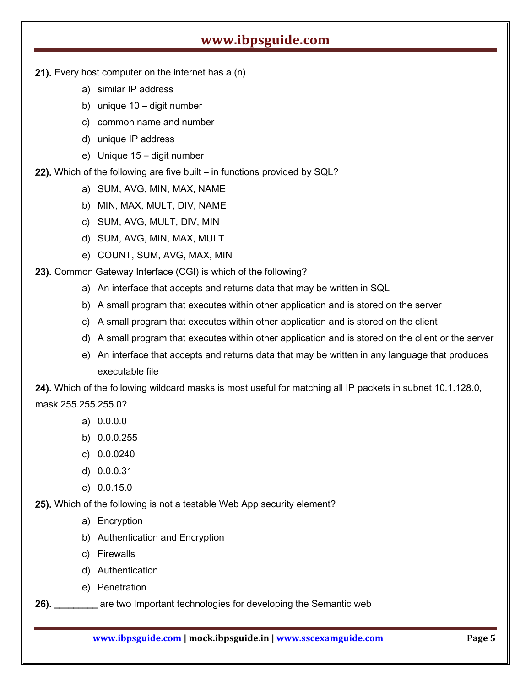- 21). Every host computer on the internet has a (n)
	- a) similar IP address
	- b) unique 10 digit number
	- c) common name and number
	- d) unique IP address
	- e) Unique 15 digit number

22). Which of the following are five built – in functions provided by SQL?

- a) SUM, AVG, MIN, MAX, NAME
- b) MIN, MAX, MULT, DIV, NAME
- c) SUM, AVG, MULT, DIV, MIN
- d) SUM, AVG, MIN, MAX, MULT
- e) COUNT, SUM, AVG, MAX, MIN

23). Common Gateway Interface (CGI) is which of the following?

- a) An interface that accepts and returns data that may be written in SQL
- b) A small program that executes within other application and is stored on the server
- c) A small program that executes within other application and is stored on the client
- d) A small program that executes within other application and is stored on the client or the server
- e) An interface that accepts and returns data that may be written in any language that produces executable file

24). Which of the following wildcard masks is most useful for matching all IP packets in subnet 10.1.128.0,

- mask 255.255.255.0?
	- a) 0.0.0.0
	- b) 0.0.0.255
	- c) 0.0.0240
	- d) 0.0.0.31
	- e) 0.0.15.0

25). Which of the following is not a testable Web App security element?

- a) Encryption
- b) Authentication and Encryption
- c) Firewalls
- d) Authentication
- e) Penetration
- 26). \_\_\_\_\_\_\_\_\_ are two Important technologies for developing the Semantic web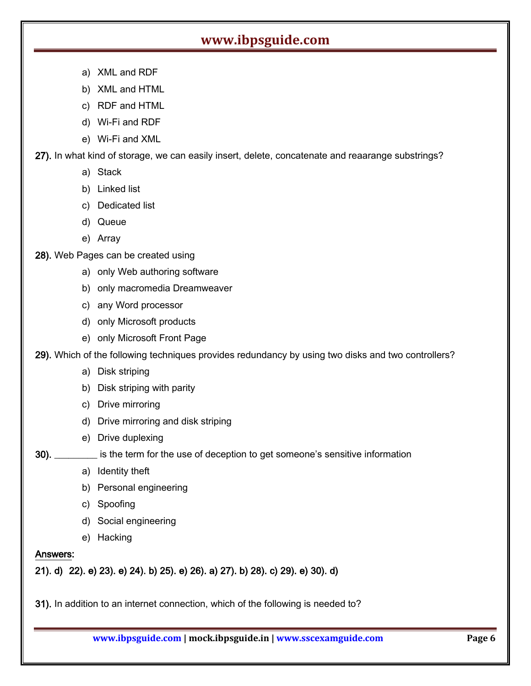- a) XML and RDF
- b) XML and HTML
- c) RDF and HTML
- d) Wi-Fi and RDF
- e) Wi-Fi and XML

27). In what kind of storage, we can easily insert, delete, concatenate and reaarange substrings?

- a) Stack
- b) Linked list
- c) Dedicated list
- d) Queue
- e) Array
- 28). Web Pages can be created using
	- a) only Web authoring software
	- b) only macromedia Dreamweaver
	- c) any Word processor
	- d) only Microsoft products
	- e) only Microsoft Front Page

29). Which of the following techniques provides redundancy by using two disks and two controllers?

- a) Disk striping
- b) Disk striping with parity
- c) Drive mirroring
- d) Drive mirroring and disk striping
- e) Drive duplexing

30). \_\_\_\_\_\_\_\_\_ is the term for the use of deception to get someone's sensitive information

- a) Identity theft
- b) Personal engineering
- c) Spoofing
- d) Social engineering
- e) Hacking

#### Answers:

21). d) 22). e) 23). e) 24). b) 25). e) 26). a) 27). b) 28). c) 29). e) 30). d)

31). In addition to an internet connection, which of the following is needed to?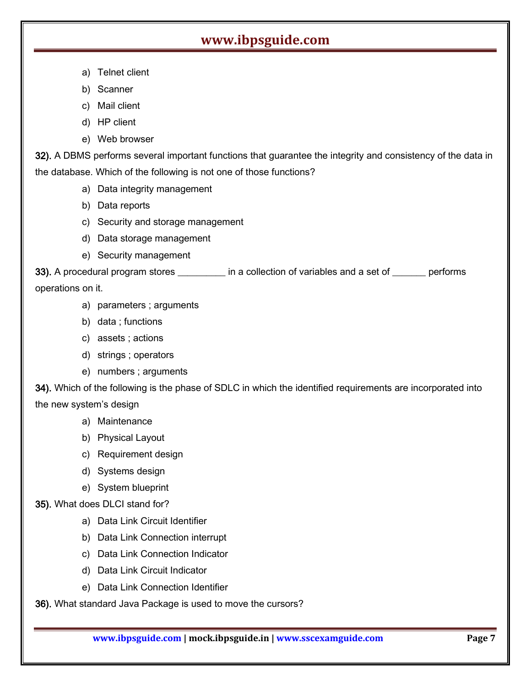- a) Telnet client
- b) Scanner
- c) Mail client
- d) HP client
- e) Web browser

32). A DBMS performs several important functions that guarantee the integrity and consistency of the data in the database. Which of the following is not one of those functions?

- a) Data integrity management
- b) Data reports
- c) Security and storage management
- d) Data storage management
- e) Security management

33). A procedural program stores \_\_\_\_\_\_\_\_\_\_ in a collection of variables and a set of \_\_\_\_\_\_\_ performs operations on it.

- a) parameters ; arguments
- b) data ; functions
- c) assets ; actions
- d) strings ; operators
- e) numbers ; arguments

34). Which of the following is the phase of SDLC in which the identified requirements are incorporated into the new system's design

- a) Maintenance
- b) Physical Layout
- c) Requirement design
- d) Systems design
- e) System blueprint
- 35). What does DLCI stand for?
	- a) Data Link Circuit Identifier
	- b) Data Link Connection interrupt
	- c) Data Link Connection Indicator
	- d) Data Link Circuit Indicator
	- e) Data Link Connection Identifier

36). What standard Java Package is used to move the cursors?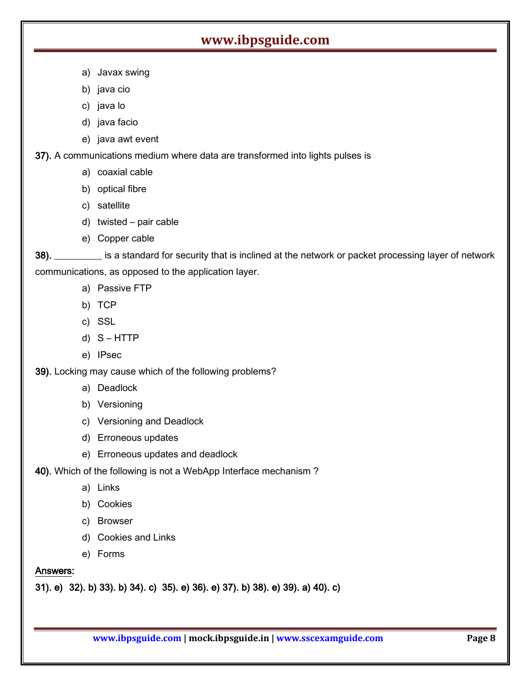- a) Javax swing
- b) java cio
- c) java lo
- d) java facio
- e) java awt event

37). A communications medium where data are transformed into lights pulses is

- a) coaxial cable
- b) optical fibre
- c) satellite
- d) twisted pair cable
- e) Copper cable

38). \_\_\_\_\_\_\_\_\_\_ is a standard for security that is inclined at the network or packet processing layer of network communications, as opposed to the application layer.

- a) Passive FTP
- b) TCP
- c) SSL
- d) S HTTP
- e) IPsec

39). Locking may cause which of the following problems?

- a) Deadlock
- b) Versioning
- c) Versioning and Deadlock
- d) Erroneous updates
- e) Erroneous updates and deadlock

40). Which of the following is not a WebApp Interface mechanism ?

- a) Links
- b) Cookies
- c) Browser
- d) Cookies and Links
- e) Forms

#### Answers:

31). e) 32). b) 33). b) 34). c) 35). e) 36). e) 37). b) 38). e) 39). a) 40). c)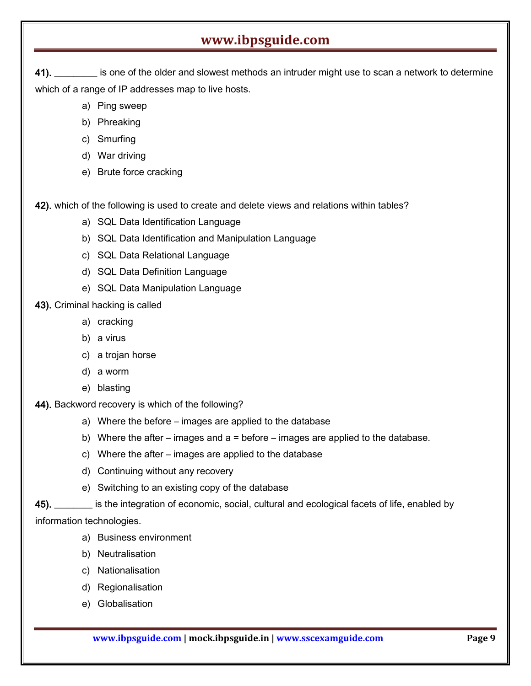41). **Example 20** is one of the older and slowest methods an intruder might use to scan a network to determine which of a range of IP addresses map to live hosts.

- a) Ping sweep
- b) Phreaking
- c) Smurfing
- d) War driving
- e) Brute force cracking

42). which of the following is used to create and delete views and relations within tables?

- a) SQL Data Identification Language
- b) SQL Data Identification and Manipulation Language
- c) SQL Data Relational Language
- d) SQL Data Definition Language
- e) SQL Data Manipulation Language

43). Criminal hacking is called

- a) cracking
- b) a virus
- c) a trojan horse
- d) a worm
- e) blasting
- 44). Backword recovery is which of the following?
	- a) Where the before images are applied to the database
	- b) Where the after images and  $a =$  before images are applied to the database.
	- c) Where the after images are applied to the database
	- d) Continuing without any recovery
	- e) Switching to an existing copy of the database

45). \_\_\_\_\_\_\_\_ is the integration of economic, social, cultural and ecological facets of life, enabled by

information technologies.

- a) Business environment
- b) Neutralisation
- c) Nationalisation
- d) Regionalisation
- e) Globalisation